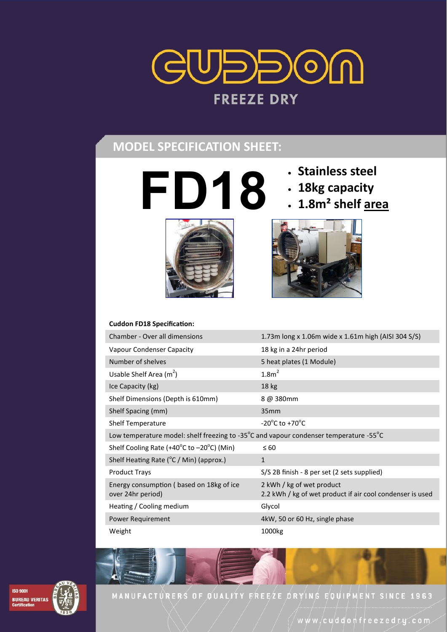

# **MODEL SPECIFICATION SHEET:**

**FD18 C**<br>**FD18 E**<br>**FD18 E**<br>**FD18 E**<br>**FD18 E**<br>**FD18 E**<br>**FD18 E**<br>**FD18 E**<br>**FD18 E**<br>**FD18 E**<br>**FD18 E**<br>**FD18 E**<br>**FD18 E**<br>**FD18 E**<br>**FD18 E**<br>**FD18 E**<br>**FD18 E**<br>**FD18 E** 



- 
- **18kg capacity**
- **1.8m² shelf area**



#### **Cuddon FD18 Specification:**

| Chamber - Over all dimensions                                                         | 1.73m long x 1.06m wide x 1.61m high (AISI 304 S/S)                                    |
|---------------------------------------------------------------------------------------|----------------------------------------------------------------------------------------|
| Vapour Condenser Capacity                                                             | 18 kg in a 24hr period                                                                 |
| Number of shelves                                                                     | 5 heat plates (1 Module)                                                               |
| Usable Shelf Area $(m^2)$                                                             | 1.8m <sup>2</sup>                                                                      |
| Ice Capacity (kg)                                                                     | 18 kg                                                                                  |
| Shelf Dimensions (Depth is 610mm)                                                     | 8 @ 380mm                                                                              |
| Shelf Spacing (mm)                                                                    | 35 <sub>mm</sub>                                                                       |
| <b>Shelf Temperature</b>                                                              | $-20^{\circ}$ C to $+70^{\circ}$ C                                                     |
| Low temperature model: shelf freezing to -35°C and vapour condenser temperature -55°C |                                                                                        |
| Shelf Cooling Rate (+40°C to −20°C) (Min)                                             | $\leq 60$                                                                              |
| Shelf Heating Rate (°C / Min) (approx.)                                               | $\mathbf{1}$                                                                           |
| <b>Product Trays</b>                                                                  | S/S 2B finish - 8 per set (2 sets supplied)                                            |
| Energy consumption (based on 18kg of ice<br>over 24hr period)                         | 2 kWh / kg of wet product<br>2.2 kWh / kg of wet product if air cool condenser is used |
| Heating / Cooling medium                                                              | Glycol                                                                                 |
| Power Requirement                                                                     | 4kW, 50 or 60 Hz, single phase                                                         |
| Weight                                                                                | 1000kg                                                                                 |



MANUFACTURERS OF QUALITY FREEZE DRYING EQUIPMENT SINCE 1963

www/cuddonfreezedry.com